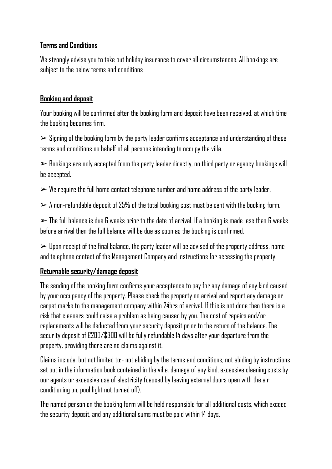### **Terms and Conditions**

We strongly advise you to take out holiday insurance to cover all circumstances. All bookings are subject to the below terms and conditions

# **Booking and deposit**

Your booking will be confirmed after the booking form and deposit have been received, at which time the booking becomes firm.

 $\triangleright$  Signing of the booking form by the party leader confirms acceptance and understanding of these terms and conditions on behalf of all persons intending to occupy the villa.

 $\triangleright$  Bookings are only accepted from the party leader directly, no third party or agency bookings will be accepted.

 $\triangleright$  We require the full home contact telephone number and home address of the party leader.

 $> A$  non-refundable deposit of 25% of the total booking cost must be sent with the booking form.

 $\triangleright$  The full balance is due 6 weeks prior to the date of arrival. If a booking is made less than 6 weeks before arrival then the full balance will be due as soon as the booking is confirmed.

 $\triangleright$  Upon receipt of the final balance, the party leader will be advised of the property address, name and telephone contact of the Management Company and instructions for accessing the property.

# **Returnable security/damage deposit**

The sending of the booking form confirms your acceptance to pay for any damage of any kind caused by your occupancy of the property. Please check the property on arrival and report any damage or carpet marks to the management company within 24hrs of arrival. If this is not done then there is a risk that cleaners could raise a problem as being caused by you. The cost of repairs and/or replacements will be deducted from your security deposit prior to the return of the balance. The security deposit of £200/\$300 will be fully refundable 14 days after your departure from the property, providing there are no claims against it.

Claims include, but not limited to:- not abiding by the terms and conditions, not abiding by instructions set out in the information book contained in the villa, damage of any kind, excessive cleaning costs by our agents or excessive use of electricity (caused by leaving external doors open with the air conditioning on, pool light not turned off).

The named person on the booking form will be held responsible for all additional costs, which exceed the security deposit, and any additional sums must be paid within 14 days.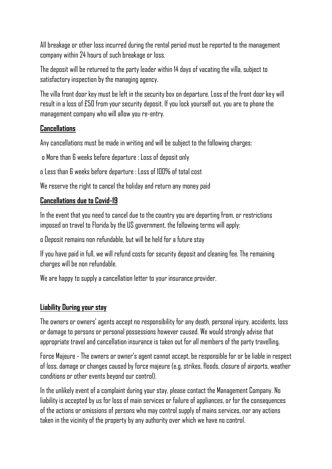All breakage or other loss incurred during the rental period must be reported to the management company within 24 hours of such breakage or loss.

The deposit will be returned to the party leader within 14 days of vacating the villa, subject to satisfactory inspection by the managing agency.

The villa front door key must be left in the security box on departure. Loss of the front door key will result in a loss of £50 from your security deposit. If you lock yourself out, you are to phone the management company who will allow you re-entry.

#### **Cancellations**

Any cancellations must be made in writing and will be subject to the following charges:

o More than 6 weeks before departure : Loss of deposit only

o Less than 6 weeks before departure : Loss of 100% of total cost

We reserve the right to cancel the holiday and return any money paid

### **Cancellations due to Covid-19**

In the event that you need to cancel due to the country you are departing from, or restrictions imposed on travel to Florida by the US government, the following terms will apply:

o Deposit remains non refundable, but will be held for a future stay

If you have paid in full, we will refund costs for security deposit and cleaning fee. The remaining charges will be non refundable.

We are happy to supply a cancellation letter to your insurance provider.

#### **Liability During your stay**

The owners or owners' agents accept no responsibility for any death, personal injury, accidents, loss or damage to persons or personal possessions however caused. We would strongly advise that appropriate travel and cancellation insurance is taken out for all members of the party travelling.

Force Majeure - The owners or owner's agent cannot accept, be responsible for or be liable in respect of loss, damage or changes caused by force majeure (e.g. strikes, floods, closure of airports, weather conditions or other events beyond our control).

In the unlikely event of a complaint during your stay, please contact the Management Company. No liability is accepted by us for loss of main services or failure of appliances, or for the consequences of the actions or omissions of persons who may control supply of mains services, nor any actions taken in the vicinity of the property by any authority over which we have no control.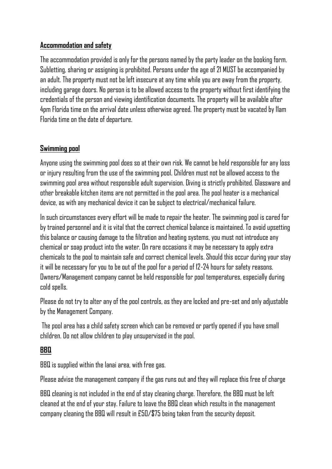### **Accommodation and safety**

The accommodation provided is only for the persons named by the party leader on the booking form. Subletting, sharing or assigning is prohibited. Persons under the age of 21 MUST be accompanied by an adult. The property must not be left insecure at any time while you are away from the property, including garage doors. No person is to be allowed access to the property without first identifying the credentials of the person and viewing identification documents. The property will be available after 4pm Florida time on the arrival date unless otherwise agreed. The property must be vacated by 11am Florida time on the date of departure.

# **Swimming pool**

Anyone using the swimming pool does so at their own risk. We cannot be held responsible for any loss or injury resulting from the use of the swimming pool. Children must not be allowed access to the swimming pool area without responsible adult supervision. Diving is strictly prohibited. Glassware and other breakable kitchen items are not permitted in the pool area. The pool heater is a mechanical device, as with any mechanical device it can be subject to electrical/mechanical failure.

In such circumstances every effort will be made to repair the heater. The swimming pool is cared for by trained personnel and it is vital that the correct chemical balance is maintained. To avoid upsetting this balance or causing damage to the filtration and heating systems, you must not introduce any chemical or soap product into the water. On rare occasions it may be necessary to apply extra chemicals to the pool to maintain safe and correct chemical levels. Should this occur during your stay it will be necessary for you to be out of the pool for a period of 12-24 hours for safety reasons. Owners/Management company cannot be held responsible for pool temperatures, especially during cold spells.

Please do not try to alter any of the pool controls, as they are locked and pre-set and only adjustable by the Management Company.

The pool area has a child safety screen which can be removed or partly opened if you have small children. Do not allow children to play unsupervised in the pool.

# **BBQ**

BBQ is supplied within the lanai area, with free gas.

Please advise the management company if the gas runs out and they will replace this free of charge

BBQ cleaning is not included in the end of stay cleaning charge. Therefore, the BBQ must be left cleaned at the end of your stay. Failure to leave the BBQ clean which results in the management company cleaning the BBQ will result in £50/\$75 being taken from the security deposit.